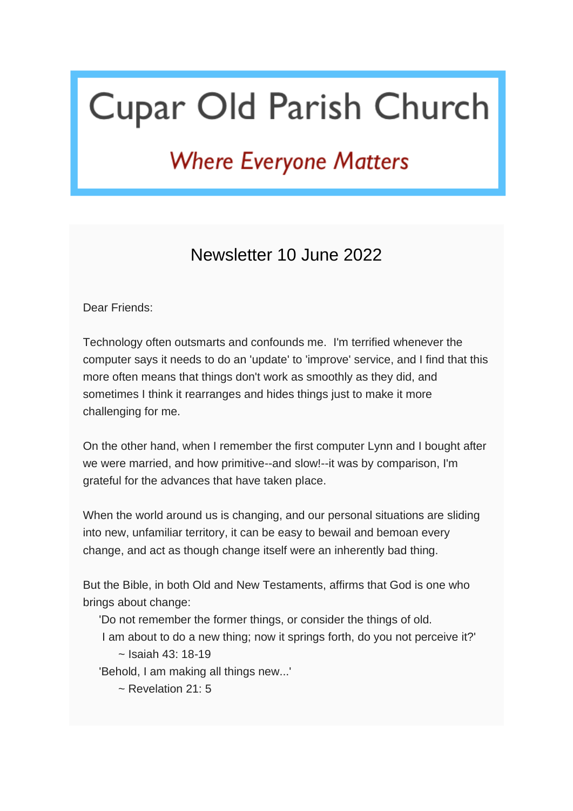# Cupar Old Parish Church

# **Where Everyone Matters**

Newsletter 10 June 2022

Dear Friends:

Technology often outsmarts and confounds me. I'm terrified whenever the computer says it needs to do an 'update' to 'improve' service, and I find that this more often means that things don't work as smoothly as they did, and sometimes I think it rearranges and hides things just to make it more challenging for me.

On the other hand, when I remember the first computer Lynn and I bought after we were married, and how primitive--and slow!--it was by comparison, I'm grateful for the advances that have taken place.

When the world around us is changing, and our personal situations are sliding into new, unfamiliar territory, it can be easy to bewail and bemoan every change, and act as though change itself were an inherently bad thing.

But the Bible, in both Old and New Testaments, affirms that God is one who brings about change:

'Do not remember the former things, or consider the things of old.

I am about to do a new thing; now it springs forth, do you not perceive it?'

 $\sim$  Isaiah 43: 18-19

'Behold, I am making all things new...'

 $\sim$  Revelation 21: 5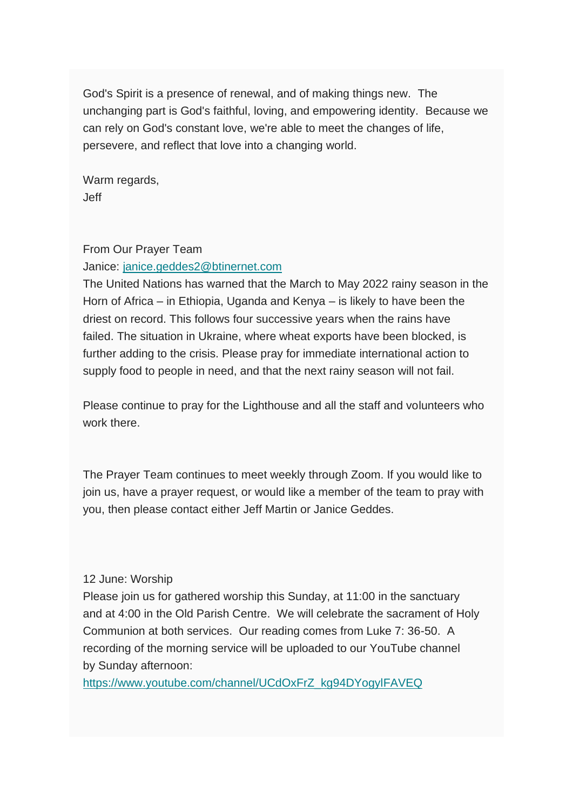God's Spirit is a presence of renewal, and of making things new. The unchanging part is God's faithful, loving, and empowering identity. Because we can rely on God's constant love, we're able to meet the changes of life, persevere, and reflect that love into a changing world.

Warm regards, Jeff

#### From Our Prayer Team

### Janice: [janice.geddes2@btinernet.com](mailto:janice.geddes2@btinernet.com)

The United Nations has warned that the March to May 2022 rainy season in the Horn of Africa – in Ethiopia, Uganda and Kenya – is likely to have been the driest on record. This follows four successive years when the rains have failed. The situation in Ukraine, where wheat exports have been blocked, is further adding to the crisis. Please pray for immediate international action to supply food to people in need, and that the next rainy season will not fail.

Please continue to pray for the Lighthouse and all the staff and volunteers who work there.

The Prayer Team continues to meet weekly through Zoom. If you would like to join us, have a prayer request, or would like a member of the team to pray with you, then please contact either Jeff Martin or Janice Geddes.

# 12 June: Worship

Please join us for gathered worship this Sunday, at 11:00 in the sanctuary and at 4:00 in the Old Parish Centre. We will celebrate the sacrament of Holy Communion at both services. Our reading comes from Luke 7: 36-50. A recording of the morning service will be uploaded to our YouTube channel by Sunday afternoon:

[https://www.youtube.com/channel/UCdOxFrZ\\_kg94DYogylFAVEQ](https://cuparold.us17.list-manage.com/track/click?u=cb0d11bd686f9936f33547aab&id=e5feb5b270&e=50898fcc67)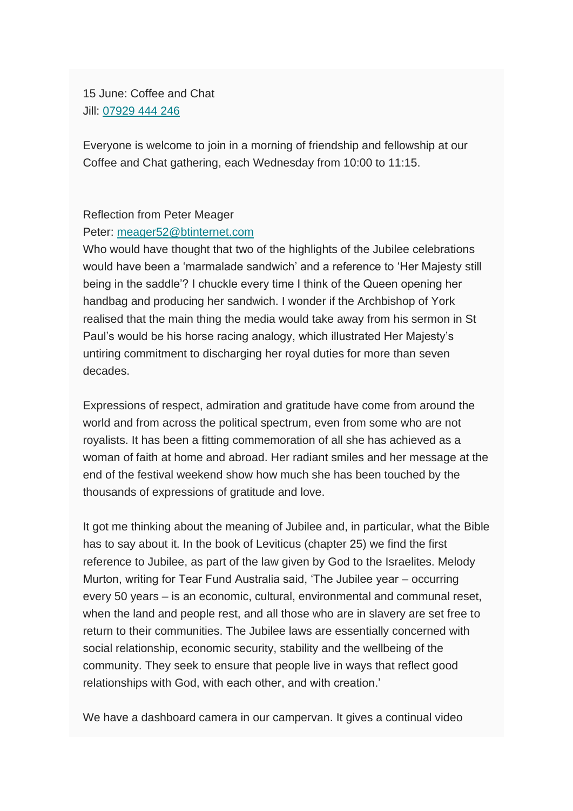15 June: Coffee and Chat Jill: [07929 444 246](tel:07929%20444%20246)

Everyone is welcome to join in a morning of friendship and fellowship at our Coffee and Chat gathering, each Wednesday from 10:00 to 11:15.

# Reflection from Peter Meager Peter: [meager52@btinternet.com](mailto:meager52@btinternet.com)

Who would have thought that two of the highlights of the Jubilee celebrations would have been a 'marmalade sandwich' and a reference to 'Her Majesty still being in the saddle'? I chuckle every time I think of the Queen opening her handbag and producing her sandwich. I wonder if the Archbishop of York realised that the main thing the media would take away from his sermon in St Paul's would be his horse racing analogy, which illustrated Her Majesty's untiring commitment to discharging her royal duties for more than seven decades.

Expressions of respect, admiration and gratitude have come from around the world and from across the political spectrum, even from some who are not royalists. It has been a fitting commemoration of all she has achieved as a woman of faith at home and abroad. Her radiant smiles and her message at the end of the festival weekend show how much she has been touched by the thousands of expressions of gratitude and love.

It got me thinking about the meaning of Jubilee and, in particular, what the Bible has to say about it. In the book of Leviticus (chapter 25) we find the first reference to Jubilee, as part of the law given by God to the Israelites. Melody Murton, writing for Tear Fund Australia said, 'The Jubilee year – occurring every 50 years – is an economic, cultural, environmental and communal reset, when the land and people rest, and all those who are in slavery are set free to return to their communities. The Jubilee laws are essentially concerned with social relationship, economic security, stability and the wellbeing of the community. They seek to ensure that people live in ways that reflect good relationships with God, with each other, and with creation.'

We have a dashboard camera in our campervan. It gives a continual video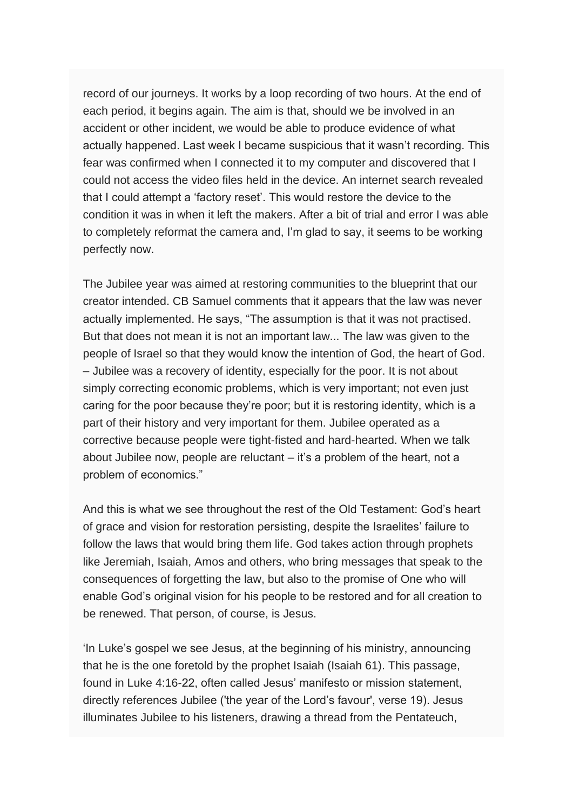record of our journeys. It works by a loop recording of two hours. At the end of each period, it begins again. The aim is that, should we be involved in an accident or other incident, we would be able to produce evidence of what actually happened. Last week I became suspicious that it wasn't recording. This fear was confirmed when I connected it to my computer and discovered that I could not access the video files held in the device. An internet search revealed that I could attempt a 'factory reset'. This would restore the device to the condition it was in when it left the makers. After a bit of trial and error I was able to completely reformat the camera and, I'm glad to say, it seems to be working perfectly now.

The Jubilee year was aimed at restoring communities to the blueprint that our creator intended. CB Samuel comments that it appears that the law was never actually implemented. He says, "The assumption is that it was not practised. But that does not mean it is not an important law... The law was given to the people of Israel so that they would know the intention of God, the heart of God. – Jubilee was a recovery of identity, especially for the poor. It is not about simply correcting economic problems, which is very important; not even just caring for the poor because they're poor; but it is restoring identity, which is a part of their history and very important for them. Jubilee operated as a corrective because people were tight-fisted and hard-hearted. When we talk about Jubilee now, people are reluctant – it's a problem of the heart, not a problem of economics."

And this is what we see throughout the rest of the Old Testament: God's heart of grace and vision for restoration persisting, despite the Israelites' failure to follow the laws that would bring them life. God takes action through prophets like Jeremiah, Isaiah, Amos and others, who bring messages that speak to the consequences of forgetting the law, but also to the promise of One who will enable God's original vision for his people to be restored and for all creation to be renewed. That person, of course, is Jesus.

'In Luke's gospel we see Jesus, at the beginning of his ministry, announcing that he is the one foretold by the prophet Isaiah (Isaiah 61). This passage, found in Luke 4:16-22, often called Jesus' manifesto or mission statement, directly references Jubilee ('the year of the Lord's favour', verse 19). Jesus illuminates Jubilee to his listeners, drawing a thread from the Pentateuch,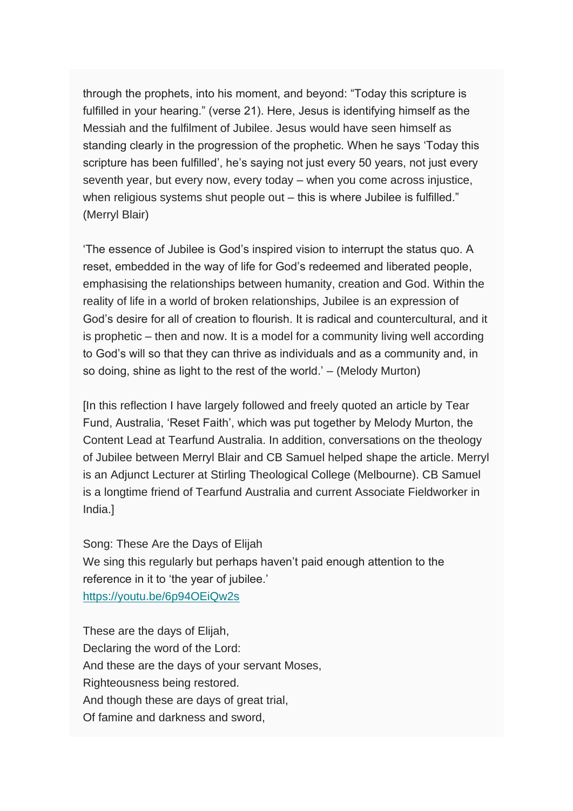through the prophets, into his moment, and beyond: "Today this scripture is fulfilled in your hearing." (verse 21). Here, Jesus is identifying himself as the Messiah and the fulfilment of Jubilee. Jesus would have seen himself as standing clearly in the progression of the prophetic. When he says 'Today this scripture has been fulfilled', he's saying not just every 50 years, not just every seventh year, but every now, every today – when you come across injustice, when religious systems shut people out – this is where Jubilee is fulfilled." (Merryl Blair)

'The essence of Jubilee is God's inspired vision to interrupt the status quo. A reset, embedded in the way of life for God's redeemed and liberated people, emphasising the relationships between humanity, creation and God. Within the reality of life in a world of broken relationships, Jubilee is an expression of God's desire for all of creation to flourish. It is radical and countercultural, and it is prophetic – then and now. It is a model for a community living well according to God's will so that they can thrive as individuals and as a community and, in so doing, shine as light to the rest of the world.' – (Melody Murton)

[In this reflection I have largely followed and freely quoted an article by Tear Fund, Australia, 'Reset Faith', which was put together by Melody Murton, the Content Lead at Tearfund Australia. In addition, conversations on the theology of Jubilee between Merryl Blair and CB Samuel helped shape the article. Merryl is an Adjunct Lecturer at Stirling Theological College (Melbourne). CB Samuel is a longtime friend of Tearfund Australia and current Associate Fieldworker in India.]

Song: These Are the Days of Elijah We sing this regularly but perhaps haven't paid enough attention to the reference in it to 'the year of jubilee.' [https://youtu.be/6p94OEiQw2s](https://cuparold.us17.list-manage.com/track/click?u=cb0d11bd686f9936f33547aab&id=a2b25b7708&e=50898fcc67)

These are the days of Elijah, Declaring the word of the Lord: And these are the days of your servant Moses, Righteousness being restored. And though these are days of great trial, Of famine and darkness and sword,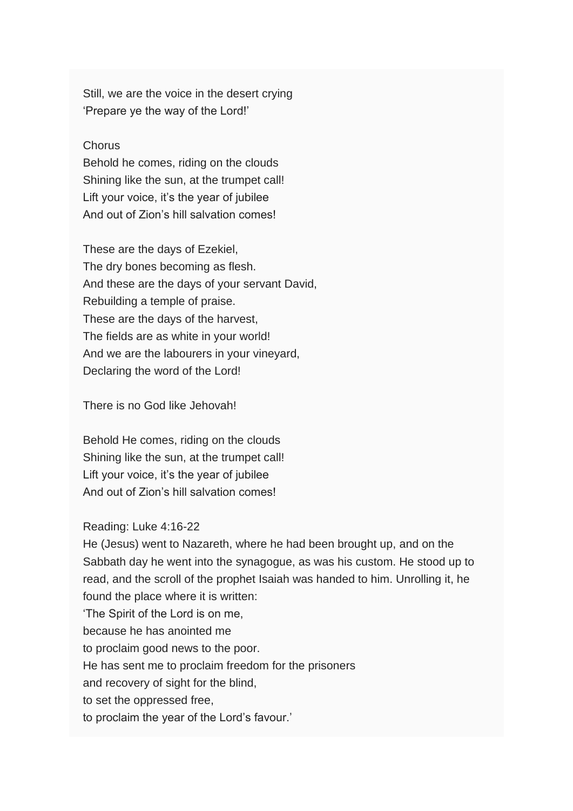Still, we are the voice in the desert crying 'Prepare ye the way of the Lord!'

#### **Chorus**

Behold he comes, riding on the clouds Shining like the sun, at the trumpet call! Lift your voice, it's the year of jubilee And out of Zion's hill salvation comes!

These are the days of Ezekiel, The dry bones becoming as flesh. And these are the days of your servant David, Rebuilding a temple of praise. These are the days of the harvest, The fields are as white in your world! And we are the labourers in your vineyard, Declaring the word of the Lord!

There is no God like Jehovah!

Behold He comes, riding on the clouds Shining like the sun, at the trumpet call! Lift your voice, it's the year of jubilee And out of Zion's hill salvation comes!

#### Reading: Luke 4:16-22

He (Jesus) went to Nazareth, where he had been brought up, and on the Sabbath day he went into the synagogue, as was his custom. He stood up to read, and the scroll of the prophet Isaiah was handed to him. Unrolling it, he found the place where it is written: 'The Spirit of the Lord is on me, because he has anointed me to proclaim good news to the poor. He has sent me to proclaim freedom for the prisoners and recovery of sight for the blind,

to set the oppressed free,

to proclaim the year of the Lord's favour.'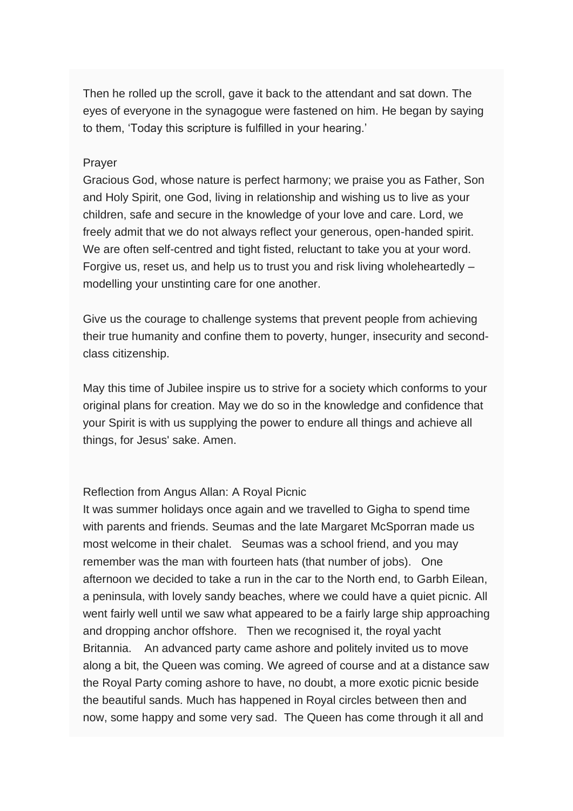Then he rolled up the scroll, gave it back to the attendant and sat down. The eyes of everyone in the synagogue were fastened on him. He began by saying to them, 'Today this scripture is fulfilled in your hearing.'

#### Prayer

Gracious God, whose nature is perfect harmony; we praise you as Father, Son and Holy Spirit, one God, living in relationship and wishing us to live as your children, safe and secure in the knowledge of your love and care. Lord, we freely admit that we do not always reflect your generous, open-handed spirit. We are often self-centred and tight fisted, reluctant to take you at your word. Forgive us, reset us, and help us to trust you and risk living wholeheartedly – modelling your unstinting care for one another.

Give us the courage to challenge systems that prevent people from achieving their true humanity and confine them to poverty, hunger, insecurity and secondclass citizenship.

May this time of Jubilee inspire us to strive for a society which conforms to your original plans for creation. May we do so in the knowledge and confidence that your Spirit is with us supplying the power to endure all things and achieve all things, for Jesus' sake. Amen.

#### Reflection from Angus Allan: A Royal Picnic

It was summer holidays once again and we travelled to Gigha to spend time with parents and friends. Seumas and the late Margaret McSporran made us most welcome in their chalet. Seumas was a school friend, and you may remember was the man with fourteen hats (that number of jobs). One afternoon we decided to take a run in the car to the North end, to Garbh Eilean, a peninsula, with lovely sandy beaches, where we could have a quiet picnic. All went fairly well until we saw what appeared to be a fairly large ship approaching and dropping anchor offshore. Then we recognised it, the royal yacht Britannia. An advanced party came ashore and politely invited us to move along a bit, the Queen was coming. We agreed of course and at a distance saw the Royal Party coming ashore to have, no doubt, a more exotic picnic beside the beautiful sands. Much has happened in Royal circles between then and now, some happy and some very sad. The Queen has come through it all and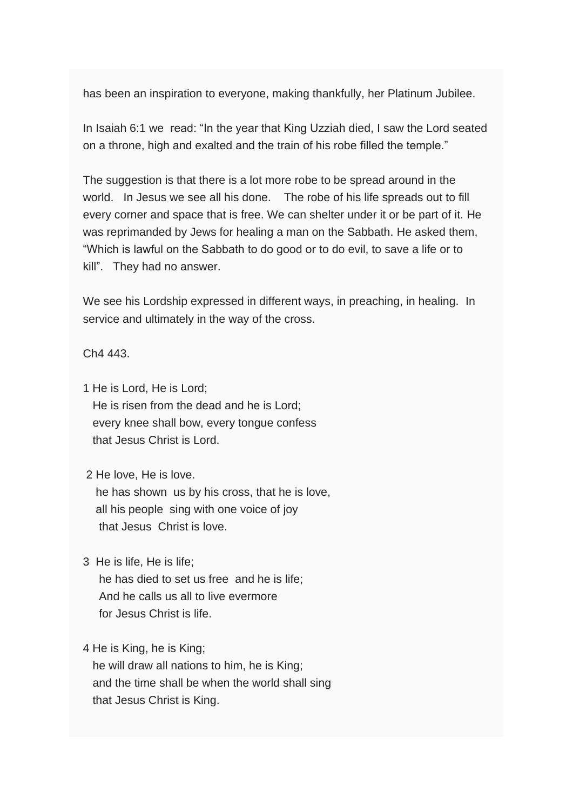has been an inspiration to everyone, making thankfully, her Platinum Jubilee.

In Isaiah 6:1 we read: "In the year that King Uzziah died, I saw the Lord seated on a throne, high and exalted and the train of his robe filled the temple."

The suggestion is that there is a lot more robe to be spread around in the world. In Jesus we see all his done. The robe of his life spreads out to fill every corner and space that is free. We can shelter under it or be part of it. He was reprimanded by Jews for healing a man on the Sabbath. He asked them, "Which is lawful on the Sabbath to do good or to do evil, to save a life or to kill". They had no answer.

We see his Lordship expressed in different ways, in preaching, in healing. In service and ultimately in the way of the cross.

Ch4 443.

1 He is Lord, He is Lord; He is risen from the dead and he is Lord; every knee shall bow, every tongue confess that Jesus Christ is Lord.

2 He love, He is love.

 he has shown us by his cross, that he is love, all his people sing with one voice of joy that Jesus Christ is love.

3 He is life, He is life;

 he has died to set us free and he is life; And he calls us all to live evermore for Jesus Christ is life.

# 4 He is King, he is King;

 he will draw all nations to him, he is King; and the time shall be when the world shall sing that Jesus Christ is King.